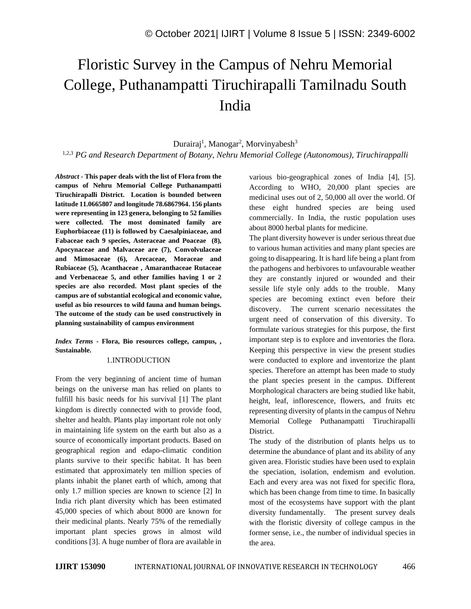# Floristic Survey in the Campus of Nehru Memorial College, Puthanampatti Tiruchirapalli Tamilnadu South India

#### Durairaj<sup>1</sup>, Manogar<sup>2</sup>, Morvinyabesh<sup>3</sup>

1,2,3 *PG and Research Department of Botany, Nehru Memorial College (Autonomous), Tiruchirappalli*

*Abstract -* **This paper deals with the list of Flora from the campus of Nehru Memorial College Puthanampatti Tiruchirapalli District. Location is bounded between latitude 11.0665807 and longitude 78.6867964. 156 plants were representing in 123 genera, belonging to 52 families were collected. The most dominated family are Euphorbiaceae (11) is followed by Caesalpiniaceae, and Fabaceae each 9 species, Asteraceae and Poaceae (8), Apocynaceae and Malvaceae are (7), Convolvulaceae and Mimosaceae (6), Arecaceae, Moraceae and Rubiaceae (5), Acanthaceae , Amaranthaceae Rutaceae and Verbenaceae 5, and other families having 1 or 2 species are also recorded. Most plant species of the campus are of substantial ecological and economic value, useful as bio resources to wild fauna and human beings. The outcome of the study can be used constructively in planning sustainability of campus environment**

#### *Index Terms -* **Flora, Bio resources college, campus, , Sustainable.**

#### 1.INTRODUCTION

From the very beginning of ancient time of human beings on the universe man has relied on plants to fulfill his basic needs for his survival [1] The plant kingdom is directly connected with to provide food, shelter and health. Plants play important role not only in maintaining life system on the earth but also as a source of economically important products. Based on geographical region and edapo-climatic condition plants survive to their specific habitat. It has been estimated that approximately ten million species of plants inhabit the planet earth of which, among that only 1.7 million species are known to science [2] In India rich plant diversity which has been estimated 45,000 species of which about 8000 are known for their medicinal plants. Nearly 75% of the remedially important plant species grows in almost wild conditions [3]. A huge number of flora are available in various bio-geographical zones of India [4], [5]. According to WHO, 20,000 plant species are medicinal uses out of 2, 50,000 all over the world. Of these eight hundred species are being used commercially. In India, the rustic population uses about 8000 herbal plants for medicine.

The plant diversity however is under serious threat due to various human activities and many plant species are going to disappearing. It is hard life being a plant from the pathogens and herbivores to unfavourable weather they are constantly injured or wounded and their sessile life style only adds to the trouble. Many species are becoming extinct even before their discovery. The current scenario necessitates the urgent need of conservation of this diversity. To formulate various strategies for this purpose, the first important step is to explore and inventories the flora. Keeping this perspective in view the present studies were conducted to explore and inventorize the plant species. Therefore an attempt has been made to study the plant species present in the campus. Different Morphological characters are being studied like habit, height, leaf, inflorescence, flowers, and fruits etc representing diversity of plants in the campus of Nehru Memorial College Puthanampatti Tiruchirapalli District.

The study of the distribution of plants helps us to determine the abundance of plant and its ability of any given area. Floristic studies have been used to explain the speciation, isolation, endemism and evolution. Each and every area was not fixed for specific flora, which has been change from time to time. In basically most of the ecosystems have support with the plant diversity fundamentally. The present survey deals with the floristic diversity of college campus in the former sense, i.e., the number of individual species in the area.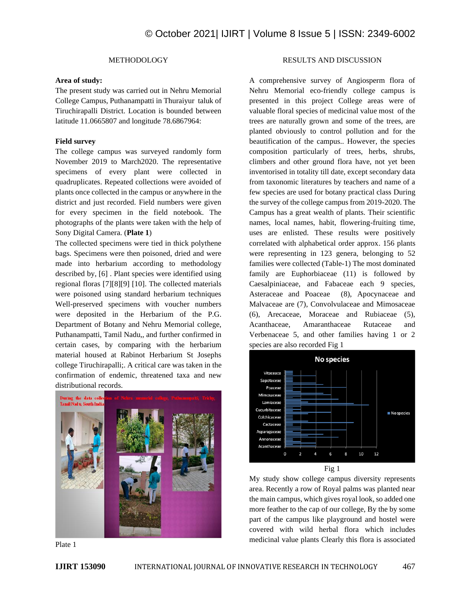#### METHODOLOGY

#### **Area of study:**

The present study was carried out in Nehru Memorial College Campus, Puthanampatti in Thuraiyur taluk of Tiruchirapalli District. Location is bounded between latitude 11.0665807 and longitude 78.6867964:

#### **Field survey**

The college campus was surveyed randomly form November 2019 to March2020. The representative specimens of every plant were collected in quadruplicates. Repeated collections were avoided of plants once collected in the campus or anywhere in the district and just recorded. Field numbers were given for every specimen in the field notebook. The photographs of the plants were taken with the help of Sony Digital Camera. (**Plate 1**)

The collected specimens were tied in thick polythene bags. Specimens were then poisoned, dried and were made into herbarium according to methodology described by, [6] . Plant species were identified using regional floras [7][8][9] [10]. The collected materials were poisoned using standard herbarium techniques Well-preserved specimens with voucher numbers were deposited in the Herbarium of the P.G. Department of Botany and Nehru Memorial college, Puthanampatti, Tamil Nadu,, and further confirmed in certain cases, by comparing with the herbarium material housed at Rabinot Herbarium St Josephs college Tiruchirapalli;. A critical care was taken in the confirmation of endemic, threatened taxa and new distributional records.



Plate 1

#### RESULTS AND DISCUSSION

A comprehensive survey of Angiosperm flora of Nehru Memorial eco-friendly college campus is presented in this project College areas were of valuable floral species of medicinal value most of the trees are naturally grown and some of the trees, are planted obviously to control pollution and for the beautification of the campus.. However, the species composition particularly of trees, herbs, shrubs, climbers and other ground flora have, not yet been inventorised in totality till date, except secondary data from taxonomic literatures by teachers and name of a few species are used for botany practical class During the survey of the college campus from 2019-2020. The Campus has a great wealth of plants. Their scientific names, local names, habit, flowering-fruiting time, uses are enlisted. These results were positively correlated with alphabetical order approx. 156 plants were representing in 123 genera, belonging to 52 families were collected (Table-1) The most dominated family are Euphorbiaceae (11) is followed by Caesalpiniaceae, and Fabaceae each 9 species, Asteraceae and Poaceae (8), Apocynaceae and Malvaceae are (7), Convolvulaceae and Mimosaceae (6), Arecaceae, Moraceae and Rubiaceae (5), Acanthaceae, Amaranthaceae Rutaceae and Verbenaceae 5, and other families having 1 or 2 species are also recorded Fig 1



My study show college campus diversity represents area. Recently a row of Royal palms was planted near the main campus, which gives royal look, so added one more feather to the cap of our college, By the by some part of the campus like playground and hostel were covered with wild herbal flora which includes medicinal value plants Clearly this flora is associated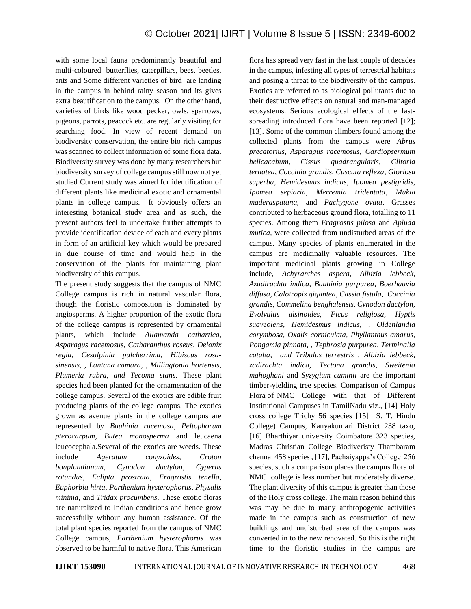with some local fauna predominantly beautiful and multi-coloured butterflies, caterpillars, bees, beetles, ants and Some different varieties of bird are landing in the campus in behind rainy season and its gives extra beautification to the campus. On the other hand, varieties of birds like wood pecker, owls, sparrows, pigeons, parrots, peacock etc. are regularly visiting for searching food. In view of recent demand on biodiversity conservation, the entire bio rich campus was scanned to collect information of some flora data. Biodiversity survey was done by many researchers but biodiversity survey of college campus still now not yet studied Current study was aimed for identification of different plants like medicinal exotic and ornamental plants in college campus. It obviously offers an interesting botanical study area and as such, the present authors feel to undertake further attempts to provide identification device of each and every plants in form of an artificial key which would be prepared in due course of time and would help in the conservation of the plants for maintaining plant biodiversity of this campus.

The present study suggests that the campus of NMC College campus is rich in natural vascular flora, though the floristic composition is dominated by angiosperms. A higher proportion of the exotic flora of the college campus is represented by ornamental plants, which include *Allamanda cathartica, Asparagus racemosus, Catharanthus roseus, Delonix regia, Cesalpinia pulcherrima, Hibiscus rosasinensis, , Lantana camara, , Millingtonia hortensis, Plumeria rubra, and Tecoma stans*. These plant species had been planted for the ornamentation of the college campus. Several of the exotics are edible fruit producing plants of the college campus. The exotics grown as avenue plants in the college campus are represented by *Bauhinia racemosa*, *Peltophorum pterocarpum*, *Butea monosperma* and leucaena leucocephala.Several of the exotics are weeds. These include *Ageratum conyzoides*, *Croton bonplandianum*, *Cynodon dactylon*, *Cyperus rotundus*, *Eclipta prostrata*, *Eragrostis tenella*, *Euphorbia hirta*, *Parthenium hysterophorus*, *Physalis minima*, and *Tridax procumbens*. These exotic floras are naturalized to Indian conditions and hence grow successfully without any human assistance. Of the total plant species reported from the campus of NMC College campus, *Parthenium hysterophorus* was observed to be harmful to native flora. This American

flora has spread very fast in the last couple of decades in the campus, infesting all types of terrestrial habitats and posing a threat to the biodiversity of the campus. Exotics are referred to as biological pollutants due to their destructive effects on natural and man-managed ecosystems. Serious ecological effects of the fastspreading introduced flora have been reported [12]; [13]. Some of the common climbers found among the collected plants from the campus were *Abrus precatorius*, *Asparagus racemosus*, *Cardiopsermum helicacabum*, *Cissus quadrangularis*, *Clitoria ternatea*, *Coccinia grandis*, *Cuscuta reflexa*, *Gloriosa superba*, *Hemidesmus indicus*, *Ipomea pestigridis*, *Ipomea sepiaria*, *Merremia tridentata*, *Mukia maderaspatana*, and *Pachygone ovata*. Grasses contributed to herbaceous ground flora, totalling to 11 species. Among them *Eragrostis pilosa* and *Apluda mutica*, were collected from undisturbed areas of the campus. Many species of plants enumerated in the campus are medicinally valuable resources. The important medicinal plants growing in College include, *Achyranthes aspera, Albizia lebbeck, Azadirachta indica, Bauhinia purpurea, Boerhaavia diffusa, Calotropis gigantea, Cassia fistula, Coccinia grandis, Commelina benghalensis, Cynodon dactylon, Evolvulus alsinoides, Ficus religiosa, Hyptis suaveolens, Hemidesmus indicus, , Oldenlandia corymbosa, Oxalis corniculata, Phyllanthus amarus, Pongamia pinnata, , Tephrosia purpurea, Terminalia cataba, and Tribulus terrestris . Albizia lebbeck, zadirachta indica, Tectona grandis, Sweitenia mahoghani* and *Syzygium cuminii* are the important timber-yielding tree species. Comparison of Campus Flora of NMC College with that of Different Institutional Campuses in TamilNadu viz., [14] Holy cross college Trichy 56 species [15] S. T. Hindu College) Campus, Kanyakumari District 238 taxo, [16] Bharthiyar university Coimbatore 323 species, Madras Christian College Biodiveristy Thambaram chennai 458 species , [17], Pachaiyappa's College 256 species, such a comparison places the campus flora of NMC college is less number but moderately diverse. The plant diversity of this campus is greater than those of the Holy cross college. The main reason behind this was may be due to many anthropogenic activities made in the campus such as construction of new buildings and undisturbed area of the campus was converted in to the new renovated. So this is the right time to the floristic studies in the campus are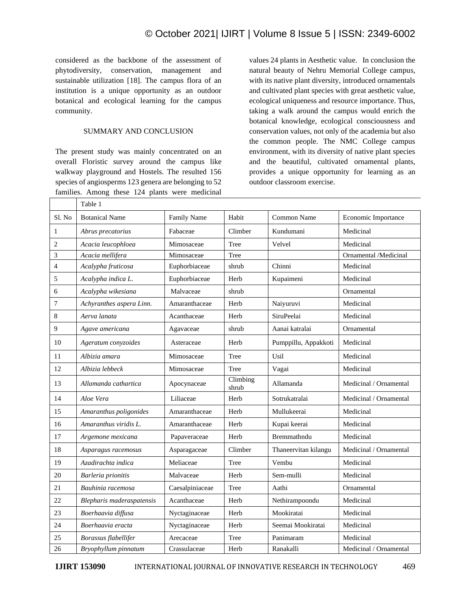considered as the backbone of the assessment of phytodiversity, conservation, management and sustainable utilization [18]. The campus flora of an institution is a unique opportunity as an outdoor botanical and ecological learning for the campus community.

#### SUMMARY AND CONCLUSION

The present study was mainly concentrated on an overall Floristic survey around the campus like walkway playground and Hostels. The resulted 156 species of angiosperms 123 genera are belonging to 52 families. Among these 124 plants were medicinal

values 24 plants in Aesthetic value. In conclusion the natural beauty of Nehru Memorial College campus, with its native plant diversity, introduced ornamentals and cultivated plant species with great aesthetic value, ecological uniqueness and resource importance. Thus, taking a walk around the campus would enrich the botanical knowledge, ecological consciousness and conservation values, not only of the academia but also the common people. The NMC College campus environment, with its diversity of native plant species and the beautiful, cultivated ornamental plants, provides a unique opportunity for learning as an outdoor classroom exercise.

|                          | Table 1                   |                    |                   |                      |                        |
|--------------------------|---------------------------|--------------------|-------------------|----------------------|------------------------|
| Sl. No                   | <b>Botanical Name</b>     | <b>Family Name</b> | Habit             | Common Name          | Economic Importance    |
| $\mathbf{1}$             | Abrus precatorius         | Fabaceae           | Climber           | Kundumani            | Medicinal              |
| $\overline{2}$           | Acacia leucophloea        | Mimosaceae         | Tree              | Velvel               | Medicinal              |
| 3                        | Acacia mellifera          | Mimosaceae         | Tree              |                      | Ornamental /Medicinal  |
| $\overline{\mathcal{L}}$ | Acalypha fruticosa        | Euphorbiaceae      | shrub             | Chinni               | Medicinal              |
| 5                        | Acalypha indica L.        | Euphorbiaceae      | Herb              | Kupaimeni            | Medicinal              |
| 6                        | Acalypha wikesiana        | Malvaceae          | shrub             |                      | Ornamental             |
| 7                        | Achyranthes aspera Linn.  | Amaranthaceae      | Herb              | Naiyuruvi            | Medicinal              |
| 8                        | Aerva lanata              | Acanthaceae        | Herb              | <b>SiruPeelai</b>    | Medicinal              |
| 9                        | Agave americana           | Agavaceae          | shrub             | Aanai katralai       | Ornamental             |
| 10                       | Ageratum conyzoides       | Asteraceae         | Herb              | Pumppillu, Appakkoti | Medicinal              |
| 11                       | Albizia amara             | Mimosaceae         | Tree              | Usil                 | Medicinal              |
| 12                       | Albizia lebbeck           | Mimosaceae         | Tree              | Vagai                | Medicinal              |
| 13                       | Allamanda cathartica      | Apocynaceae        | Climbing<br>shrub | Allamanda            | Medicinal / Ornamental |
| 14                       | Aloe Vera                 | Liliaceae          | Herb              | Sotrukatralai        | Medicinal / Ornamental |
| 15                       | Amaranthus poligonides    | Amaranthaceae      | Herb              | Mullukeerai          | Medicinal              |
| 16                       | Amaranthus viridis L.     | Amaranthaceae      | Herb              | Kupai keerai         | Medicinal              |
| 17                       | Argemone mexicana         | Papaveraceae       | Herb              | Bremmathndu          | Medicinal              |
| 18                       | Asparagus racemosus       | Asparagaceae       | Climber           | Thaneervitan kilangu | Medicinal / Ornamental |
| 19                       | Azadirachta indica        | Meliaceae          | Tree              | Vembu                | Medicinal              |
| 20                       | Barleria prionitis        | Malvaceae          | Herb              | Sem-mulli            | Medicinal              |
| 21                       | Bauhinia racemosa         | Caesalpiniaceae    | Tree              | Aathi                | Ornamental             |
| 22                       | Blepharis maderaspatensis | Acanthaceae        | Herb              | Nethirampoondu       | Medicinal              |
| 23                       | Boerhaavia diffusa        | Nyctaginaceae      | Herb              | Mookiratai           | Medicinal              |
| 24                       | Boerhaavia eracta         | Nyctaginaceae      | Herb              | Seemai Mookiratai    | Medicinal              |
| 25                       | Borassus flabellifer      | Arecaceae          | Tree              | Panimaram            | Medicinal              |
| 26                       | Bryophyllum pinnatum      | Crassulaceae       | Herb              | Ranakalli            | Medicinal / Ornamental |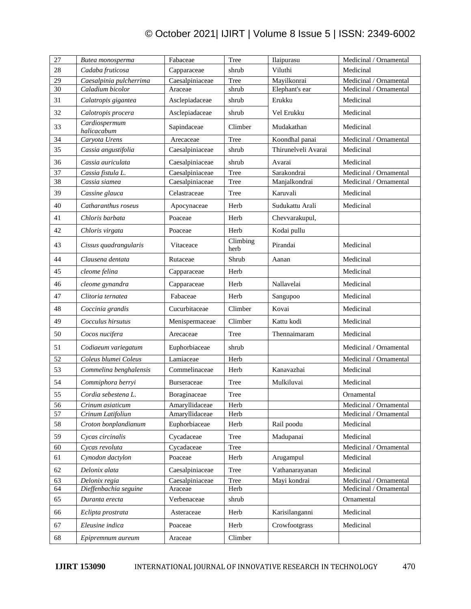| 27 | Butea monosperma             | Fabaceae           | Tree             | Ilaipurasu          | Medicinal / Ornamental |
|----|------------------------------|--------------------|------------------|---------------------|------------------------|
| 28 | Cadaba fruticosa             | Capparaceae        | shrub            | Viluthi             | Medicinal              |
| 29 | Caesalpinia pulcherrima      | Caesalpiniaceae    | Tree             | Mayilkonrai         | Medicinal / Ornamental |
| 30 | Caladium bicolor             | Araceae            | shrub            | Elephant's ear      | Medicinal / Ornamental |
| 31 | Calatropis gigantea          | Asclepiadaceae     | shrub            | Erukku              | Medicinal              |
| 32 | Calotropis procera           | Asclepiadaceae     | shrub            | Vel Erukku          | Medicinal              |
| 33 | Cardiospermum<br>halicacabum | Sapindaceae        | Climber          | Mudakathan          | Medicinal              |
| 34 | Caryota Urens                | Arecaceae          | Tree             | Koondhal panai      | Medicinal / Ornamental |
| 35 | Cassia angustifolia          | Caesalpiniaceae    | shrub            | Thirunelveli Avarai | Medicinal              |
| 36 | Cassia auriculata            | Caesalpiniaceae    | shrub            | Avarai              | Medicinal              |
| 37 | Cassia fistula L.            | Caesalpiniaceae    | Tree             | Sarakondrai         | Medicinal / Ornamental |
| 38 | Cassia siamea                | Caesalpiniaceae    | Tree             | Manjalkondrai       | Medicinal / Ornamental |
| 39 | Cassine glauca               | Celastraceae       | Tree             | Karuvali            | Medicinal              |
| 40 | Catharanthus roseus          | Apocynaceae        | Herb             | Sudukattu Arali     | Medicinal              |
| 41 | Chloris barbata              | Poaceae            | Herb             | Chevvarakupul,      |                        |
| 42 | Chloris virgata              | Poaceae            | Herb             | Kodai pullu         |                        |
| 43 | Cissus quadrangularis        | Vitaceace          | Climbing<br>herb | Pirandai            | Medicinal              |
| 44 | Clausena dentata             | Rutaceae           | Shrub            | Aanan               | Medicinal              |
| 45 | cleome felina                | Capparaceae        | Herb             |                     | Medicinal              |
| 46 | cleome gynandra              | Capparaceae        | Herb             | Nallavelai          | Medicinal              |
| 47 | Clitoria ternatea            | Fabaceae           | Herb             | Sangupoo            | Medicinal              |
| 48 | Coccinia grandis             | Cucurbitaceae      | Climber          | Kovai               | Medicinal              |
| 49 | Cocculus hirsutus            | Menispermaceae     | Climber          | Kattu kodi          | Medicinal              |
| 50 | Cocos nucifera               | Arecaceae          | Tree             | Thennaimaram        | Medicinal              |
| 51 | Codiaeum variegatum          | Euphorbiaceae      | shrub            |                     | Medicinal / Ornamental |
| 52 | Coleus blumei Coleus         | Lamiaceae          | Herb             |                     | Medicinal / Ornamental |
| 53 | Commelina benghalensis       | Commelinaceae      | Herb             | Kanavazhai          | Medicinal              |
| 54 | Commiphora berryi            | <b>Burseraceae</b> | Tree             | Mulkiluvai          | Medicinal              |
| 55 | Cordia sebestena L.          | Boraginaceae       | Tree             |                     | Ornamental             |
| 56 | Crinum asiaticum             | Amaryllidaceae     | Herb             |                     | Medicinal / Ornamental |
| 57 | Crinum Latifoliun            | Amaryllidaceae     | Herb             |                     | Medicinal / Ornamental |
| 58 | Croton bonplandianum         | Euphorbiaceae      | Herb             | Rail poodu          | Medicinal              |
| 59 | Cycas circinalis             | Cycadaceae         | Tree             | Madupanai           | Medicinal              |
| 60 | Cycas revoluta               | Cycadaceae         | Tree             |                     | Medicinal / Ornamental |
| 61 | Cynodon dactylon             | Poaceae            | Herb             | Arugampul           | Medicinal              |
| 62 | Delonix alata                | Caesalpiniaceae    | Tree             | Vathanarayanan      | Medicinal              |
| 63 | Delonix regia                | Caesalpiniaceae    | Tree             | Mayi kondrai        | Medicinal / Ornamental |
| 64 | Dieffenbachia seguine        | Araceae            | Herb             |                     | Medicinal / Ornamental |
| 65 | Duranta erecta               | Verbenaceae        | shrub            |                     | Ornamental             |
| 66 | Eclipta prostrata            | Asteraceae         | Herb             | Karisilanganni      | Medicinal              |
| 67 | Eleusine indica              | Poaceae            | Herb             | Crowfootgrass       | Medicinal              |
| 68 | Epipremnum aureum            | Araceae            | Climber          |                     |                        |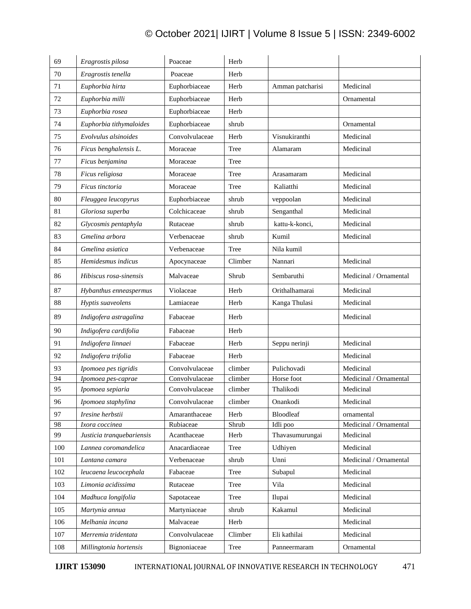| 69  | Eragrostis pilosa         | Poaceae        | Herb    |                  |                        |
|-----|---------------------------|----------------|---------|------------------|------------------------|
| 70  | Eragrostis tenella        | Poaceae        | Herb    |                  |                        |
| 71  | Euphorbia hirta           | Euphorbiaceae  | Herb    | Amman patcharisi | Medicinal              |
| 72  | Euphorbia milli           | Euphorbiaceae  | Herb    |                  | Ornamental             |
| 73  | Euphorbia rosea           | Euphorbiaceae  | Herb    |                  |                        |
| 74  | Euphorbia tithymaloides   | Euphorbiaceae  | shrub   |                  | Ornamental             |
| 75  | Evolvulus alsinoides      | Convolvulaceae | Herb    | Visnukiranthi    | Medicinal              |
| 76  | Ficus benghalensis L.     | Moraceae       | Tree    | Alamaram         | Medicinal              |
| 77  | Ficus benjamina           | Moraceae       | Tree    |                  |                        |
| 78  | Ficus religiosa           | Moraceae       | Tree    | Arasamaram       | Medicinal              |
| 79  | Ficus tinctoria           | Moraceae       | Tree    | Kaliatthi        | Medicinal              |
| 80  | Fleuggea leucopyrus       | Euphorbiaceae  | shrub   | veppoolan        | Medicinal              |
| 81  | Gloriosa superba          | Colchicaceae   | shrub   | Senganthal       | Medicinal              |
| 82  | Glycosmis pentaphyla      | Rutaceae       | shrub   | kattu-k-konci,   | Medicinal              |
| 83  | Gmelina arbora            | Verbenaceae    | shrub   | Kumil            | Medicinal              |
| 84  | Gmelina asiatica          | Verbenaceae    | Tree    | Nila kumil       |                        |
| 85  | Hemidesmus indicus        | Apocynaceae    | Climber | Nannari          | Medicinal              |
| 86  | Hibiscus rosa-sinensis    | Malvaceae      | Shrub   | Sembaruthi       | Medicinal / Ornamental |
| 87  | Hybanthus enneaspermus    | Violaceae      | Herb    | Orithalhamarai   | Medicinal              |
| 88  | Hyptis suaveolens         | Lamiaceae      | Herb    | Kanga Thulasi    | Medicinal              |
| 89  | Indigofera astragalina    | Fabaceae       | Herb    |                  | Medicinal              |
| 90  | Indigofera cardifolia     | Fabaceae       | Herb    |                  |                        |
| 91  | Indigofera linnaei        | Fabaceae       | Herb    | Seppu nerinji    | Medicinal              |
| 92  | Indigofera trifolia       | Fabaceae       | Herb    |                  | Medicinal              |
| 93  | Ipomoea pes tigridis      | Convolvulaceae | climber | Pulichovadi      | Medicinal              |
| 94  | Ipomoea pes-caprae        | Convolvulaceae | climber | Horse foot       | Medicinal / Ornamental |
| 95  | Ipomoea sepiaria          | Convolvulaceae | climber | Thalikodi        | Medicinal              |
| 96  | Ipomoea staphylina        | Convolvulaceae | climber | Onankodi         | Medicinal              |
| 97  | Iresine herbstii          | Amaranthaceae  | Herb    | <b>Bloodleaf</b> | ornamental             |
| 98  | Ixora coccinea            | Rubiaceae      | Shrub   | Idli poo         | Medicinal / Ornamental |
| 99  | Justicia tranquebariensis | Acanthaceae    | Herb    | Thavasumurungai  | Medicinal              |
| 100 | Lannea coromandelica      | Anacardiaceae  | Tree    | Udhiyen          | Medicinal              |
| 101 | Lantana camara            | Verbenaceae    | shrub   | Unni             | Medicinal / Ornamental |
| 102 | leucaena leucocephala     | Fabaceae       | Tree    | Subapul          | Medicinal              |
| 103 | Limonia acidissima        | Rutaceae       | Tree    | Vila             | Medicinal              |
| 104 | Madhuca longifolia        | Sapotaceae     | Tree    | Ilupai           | Medicinal              |
| 105 | Martynia annua            | Martyniaceae   | shrub   | Kakamul          | Medicinal              |
| 106 | Melhania incana           | Malvaceae      | Herb    |                  | Medicinal              |
| 107 | Merremia tridentata       | Convolvulaceae | Climber | Eli kathilai     | Medicinal              |
| 108 | Millingtonia hortensis    | Bignoniaceae   | Tree    | Panneermaram     | Ornamental             |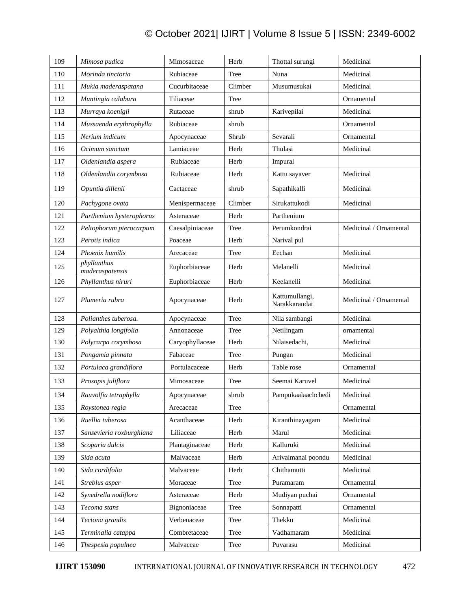| 109 | Mimosa pudica                  | Mimosaceae      | Herb    | Thottal surungi                 | Medicinal              |
|-----|--------------------------------|-----------------|---------|---------------------------------|------------------------|
| 110 | Morinda tinctoria              | Rubiaceae       | Tree    | Nuna                            | Medicinal              |
| 111 | Mukia maderaspatana            | Cucurbitaceae   | Climber | Musumusukai                     | Medicinal              |
| 112 | Muntingia calabura             | Tiliaceae       | Tree    |                                 | Ornamental             |
| 113 | Murraya koenigii               | Rutaceae        | shrub   | Karivepilai                     | Medicinal              |
| 114 | Mussaenda erythrophylla        | Rubiaceae       | shrub   |                                 | Ornamental             |
| 115 | Nerium indicum                 | Apocynaceae     | Shrub   | Sevarali                        | Ornamental             |
| 116 | Ocimum sanctum                 | Lamiaceae       | Herb    | Thulasi                         | Medicinal              |
| 117 | Oldenlandia aspera             | Rubiaceae       | Herb    | Impural                         |                        |
| 118 | Oldenlandia corymbosa          | Rubiaceae       | Herb    | Kattu sayaver                   | Medicinal              |
| 119 | Opuntia dillenii               | Cactaceae       | shrub   | Sapathikalli                    | Medicinal              |
| 120 | Pachygone ovata                | Menispermaceae  | Climber | Sirukattukodi                   | Medicinal              |
| 121 | Parthenium hysterophorus       | Asteraceae      | Herb    | Parthenium                      |                        |
| 122 | Peltophorum pterocarpum        | Caesalpiniaceae | Tree    | Perumkondrai                    | Medicinal / Ornamental |
| 123 | Perotis indica                 | Poaceae         | Herb    | Narival pul                     |                        |
| 124 | Phoenix humilis                | Arecaceae       | Tree    | Eechan                          | Medicinal              |
| 125 | phyllanthus<br>maderaspatensis | Euphorbiaceae   | Herb    | Melanelli                       | Medicinal              |
| 126 | Phyllanthus niruri             | Euphorbiaceae   | Herb    | Keelanelli                      | Medicinal              |
| 127 | Plumeria rubra                 | Apocynaceae     | Herb    | Kattumullangi,<br>Narakkarandai | Medicinal / Ornamental |
| 128 | Polianthes tuberosa.           | Apocynaceae     | Tree    | Nila sambangi                   | Medicinal              |
| 129 | Polyalthia longifolia          | Annonaceae      | Tree    | Netilingam                      | ornamental             |
| 130 | Polycarpa corymbosa            | Caryophyllaceae | Herb    | Nilaisedachi,                   | Medicinal              |
| 131 | Pongamia pinnata               | Fabaceae        | Tree    | Pungan                          | Medicinal              |
| 132 | Portulaca grandiflora          | Portulacaceae   | Herb    | Table rose                      | Ornamental             |
| 133 | Prosopis juliflora             | Mimosaceae      | Tree    | Seemai Karuvel                  | Medicinal              |
| 134 | Rauvolfia tetraphylla          | Apocynaceae     | shrub   | Pampukaalaachchedi              | Medicinal              |
| 135 | Roystonea regia                | Arecaceae       | Tree    |                                 | Ornamental             |
| 136 | Ruellia tuberosa               | Acanthaceae     | Herb    | Kiranthinayagam                 | Medicinal              |
| 137 | Sansevieria roxburghiana       | Liliaceae       | Herb    | Marul                           | Medicinal              |
| 138 | Scoparia dulcis                | Plantaginaceae  | Herb    | Kalluruki                       | Medicinal              |
| 139 | Sida acuta                     | Malvaceae       | Herb    | Arivalmanai poondu              | Medicinal              |
| 140 | Sida cordifolia                | Malvaceae       | Herb    | Chithamutti                     | Medicinal              |
| 141 | Streblus asper                 | Moraceae        | Tree    | Puramaram                       | Ornamental             |
| 142 | Synedrella nodiflora           | Asteraceae      | Herb    | Mudiyan puchai                  | Ornamental             |
| 143 | Tecoma stans                   | Bignoniaceae    | Tree    | Sonnapatti                      | Ornamental             |
| 144 | Tectona grandis                | Verbenaceae     | Tree    | Thekku                          | Medicinal              |
| 145 | Terminalia catappa             | Combretaceae    | Tree    | Vadhamaram                      | Medicinal              |
| 146 | Thespesia populnea             | Malvaceae       | Tree    | Puvarasu                        | Medicinal              |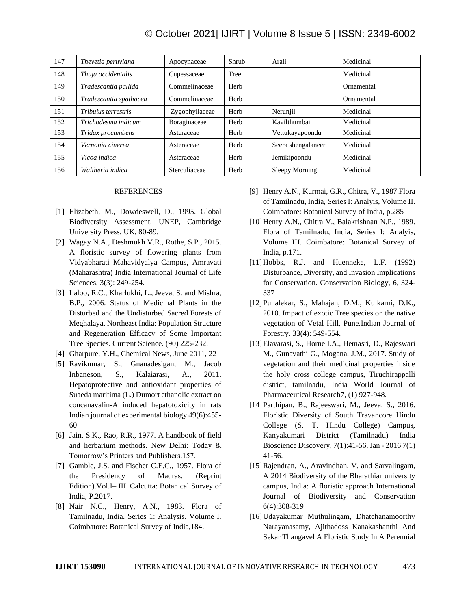| 147 | Thevetia peruviana     | Apocynaceae    | Shrub | Arali              | Medicinal  |
|-----|------------------------|----------------|-------|--------------------|------------|
| 148 | Thuja occidentalis     | Cupessaceae    | Tree  |                    | Medicinal  |
| 149 | Tradescantia pallida   | Commelinaceae  | Herb  |                    | Ornamental |
| 150 | Tradescantia spathacea | Commelinaceae  | Herb  |                    | Ornamental |
| 151 | Tribulus terrestris    | Zygophyllaceae | Herb  | Nerunjil           | Medicinal  |
| 152 | Trichodesma indicum    | Boraginaceae   | Herb  | Kavilthumbai       | Medicinal  |
| 153 | Tridax procumbens      | Asteraceae     | Herb  | Vettukayapoondu    | Medicinal  |
| 154 | Vernonia cinerea       | Asteraceae     | Herb  | Seera shengalaneer | Medicinal  |
| 155 | Vicoa indica           | Asteraceae     | Herb  | Jemikipoondu       | Medicinal  |
| 156 | Waltheria indica       | Sterculiaceae  | Herb  | Sleepy Morning     | Medicinal  |

#### REFERENCES

- [1] Elizabeth, M., Dowdeswell, D., 1995. Global Biodiversity Assessment. UNEP, Cambridge University Press, UK, 80-89.
- [2] Wagay N.A., Deshmukh V.R., Rothe, S.P., 2015. A floristic survey of flowering plants from Vidyabharati Mahavidyalya Campus, Amravati (Maharashtra) India International Journal of Life Sciences, 3(3): 249-254.
- [3] Laloo, R.C., Kharlukhi, L., Jeeva, S. and Mishra, B.P., 2006. Status of Medicinal Plants in the Disturbed and the Undisturbed Sacred Forests of Meghalaya, Northeast India: Population Structure and Regeneration Efficacy of Some Important Tree Species. Current Science. (90) 225-232.
- [4] Gharpure, Y.H., Chemical News, June 2011, 22
- [5] Ravikumar, S., Gnanadesigan, M., Jacob Inbaneson, S., Kalaiarasi, A., 2011. Hepatoprotective and antioxidant properties of Suaeda maritima (L.) Dumort ethanolic extract on concanavalin-A induced hepatotoxicity in rats Indian journal of experimental biology 49(6):455- 60
- [6] Jain, S.K., Rao, R.R., 1977. A handbook of field and herbarium methods. New Delhi: Today & Tomorrow's Printers and Publishers.157.
- [7] Gamble, J.S. and Fischer C.E.C., 1957. Flora of the Presidency of Madras. (Reprint Edition).Vol.I– III. Calcutta: Botanical Survey of India, P.2017.
- [8] Nair N.C., Henry, A.N., 1983. Flora of Tamilnadu, India. Series 1: Analysis. Volume I. Coimbatore: Botanical Survey of India,184.
- [9] Henry A.N., Kurmai, G.R., Chitra, V., 1987.Flora of Tamilnadu, India, Series I: Analyis, Volume II. Coimbatore: Botanical Survey of India, p.285
- [10] Henry A.N., Chitra V., Balakrishnan N.P., 1989. Flora of Tamilnadu, India, Series I: Analyis, Volume III. Coimbatore: Botanical Survey of India, p.171.
- [11] Hobbs, R.J. and Huenneke, L.F. (1992) Disturbance, Diversity, and Invasion Implications for Conservation. Conservation Biology, 6, 324- 337
- [12]Punalekar, S., Mahajan, D.M., Kulkarni, D.K., 2010. Impact of exotic Tree species on the native vegetation of Vetal Hill, Pune.Indian Journal of Forestry. 33(4): 549-554.
- [13]Elavarasi, S., Horne I.A., Hemasri, D., Rajeswari M., Gunavathi G., Mogana, J.M., 2017. Study of vegetation and their medicinal properties inside the holy cross college campus, Tiruchirappalli district, tamilnadu, India World Journal of Pharmaceutical Research7, (1) 927-948.
- [14]Parthipan, B., Rajeeswari, M., Jeeva, S., 2016. Floristic Diversity of South Travancore Hindu College (S. T. Hindu College) Campus, Kanyakumari District (Tamilnadu) India Bioscience Discovery, 7(1):41-56, Jan - 2016 7(1) 41-56.
- [15]Rajendran, A., Aravindhan, V. and Sarvalingam, A 2014 Biodiversity of the Bharathiar university campus, India: A floristic approach International Journal of Biodiversity and Conservation 6(4):308-319
- [16]Udayakumar Muthulingam, Dhatchanamoorthy Narayanasamy, Ajithadoss Kanakashanthi And Sekar Thangavel A Floristic Study In A Perennial